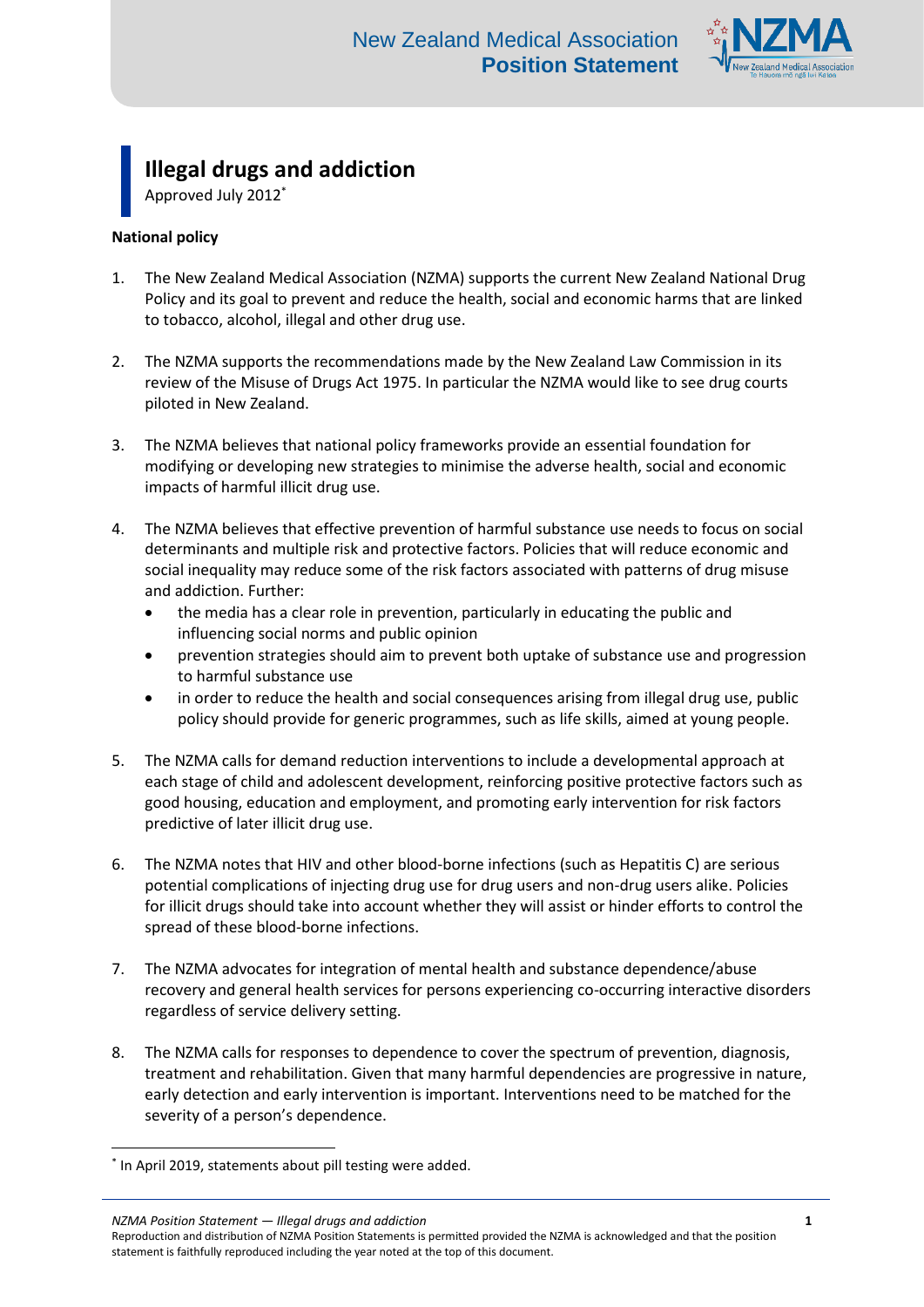

**Illegal drugs and addiction**

Approved July 2012\*

# **National policy**

- 1. The New Zealand Medical Association (NZMA) supports the current New Zealand National Drug Policy and its goal to prevent and reduce the health, social and economic harms that are linked to tobacco, alcohol, illegal and other drug use.
- 2. The NZMA supports the recommendations made by the New Zealand Law Commission in its review of the Misuse of Drugs Act 1975. In particular the NZMA would like to see drug courts piloted in New Zealand.
- 3. The NZMA believes that national policy frameworks provide an essential foundation for modifying or developing new strategies to minimise the adverse health, social and economic impacts of harmful illicit drug use.
- 4. The NZMA believes that effective prevention of harmful substance use needs to focus on social determinants and multiple risk and protective factors. Policies that will reduce economic and social inequality may reduce some of the risk factors associated with patterns of drug misuse and addiction. Further:
	- the media has a clear role in prevention, particularly in educating the public and influencing social norms and public opinion
	- prevention strategies should aim to prevent both uptake of substance use and progression to harmful substance use
	- in order to reduce the health and social consequences arising from illegal drug use, public policy should provide for generic programmes, such as life skills, aimed at young people.
- 5. The NZMA calls for demand reduction interventions to include a developmental approach at each stage of child and adolescent development, reinforcing positive protective factors such as good housing, education and employment, and promoting early intervention for risk factors predictive of later illicit drug use.
- 6. The NZMA notes that HIV and other blood-borne infections (such as Hepatitis C) are serious potential complications of injecting drug use for drug users and non-drug users alike. Policies for illicit drugs should take into account whether they will assist or hinder efforts to control the spread of these blood-borne infections.
- 7. The NZMA advocates for integration of mental health and substance dependence/abuse recovery and general health services for persons experiencing co-occurring interactive disorders regardless of service delivery setting.
- 8. The NZMA calls for responses to dependence to cover the spectrum of prevention, diagnosis, treatment and rehabilitation. Given that many harmful dependencies are progressive in nature, early detection and early intervention is important. Interventions need to be matched for the severity of a person's dependence.

*NZMA Position Statement — Illegal drugs and addiction* **1**

1

<sup>\*</sup> In April 2019, statements about pill testing were added.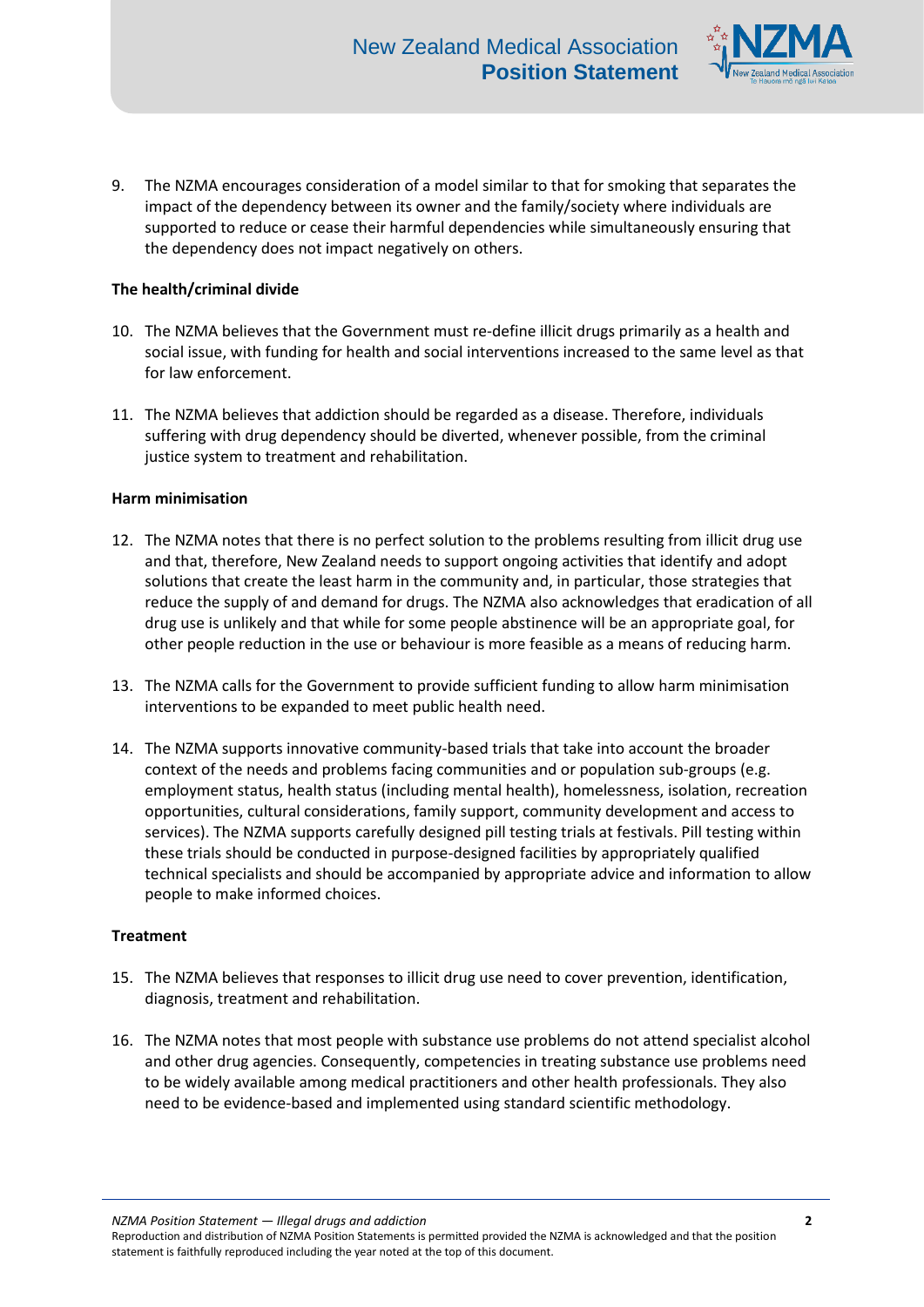

9. The NZMA encourages consideration of a model similar to that for smoking that separates the impact of the dependency between its owner and the family/society where individuals are supported to reduce or cease their harmful dependencies while simultaneously ensuring that the dependency does not impact negatively on others.

## **The health/criminal divide**

- 10. The NZMA believes that the Government must re-define illicit drugs primarily as a health and social issue, with funding for health and social interventions increased to the same level as that for law enforcement.
- 11. The NZMA believes that addiction should be regarded as a disease. Therefore, individuals suffering with drug dependency should be diverted, whenever possible, from the criminal justice system to treatment and rehabilitation.

### **Harm minimisation**

- 12. The NZMA notes that there is no perfect solution to the problems resulting from illicit drug use and that, therefore, New Zealand needs to support ongoing activities that identify and adopt solutions that create the least harm in the community and, in particular, those strategies that reduce the supply of and demand for drugs. The NZMA also acknowledges that eradication of all drug use is unlikely and that while for some people abstinence will be an appropriate goal, for other people reduction in the use or behaviour is more feasible as a means of reducing harm.
- 13. The NZMA calls for the Government to provide sufficient funding to allow harm minimisation interventions to be expanded to meet public health need.
- 14. The NZMA supports innovative community-based trials that take into account the broader context of the needs and problems facing communities and or population sub-groups (e.g. employment status, health status (including mental health), homelessness, isolation, recreation opportunities, cultural considerations, family support, community development and access to services). The NZMA supports carefully designed pill testing trials at festivals. Pill testing within these trials should be conducted in purpose-designed facilities by appropriately qualified technical specialists and should be accompanied by appropriate advice and information to allow people to make informed choices.

### **Treatment**

- 15. The NZMA believes that responses to illicit drug use need to cover prevention, identification, diagnosis, treatment and rehabilitation.
- 16. The NZMA notes that most people with substance use problems do not attend specialist alcohol and other drug agencies. Consequently, competencies in treating substance use problems need to be widely available among medical practitioners and other health professionals. They also need to be evidence-based and implemented using standard scientific methodology.

*NZMA Position Statement — Illegal drugs and addiction* **2**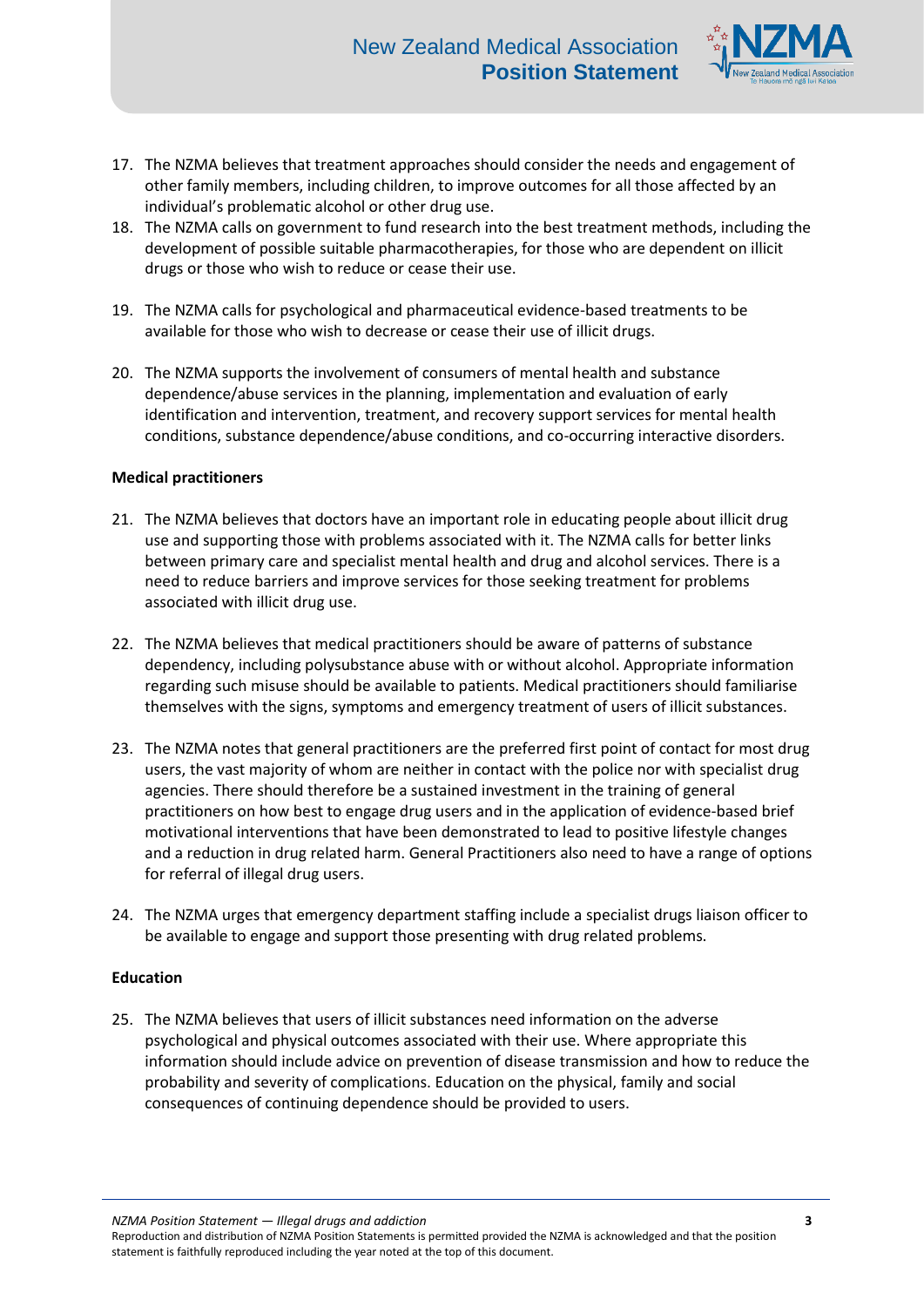

- 17. The NZMA believes that treatment approaches should consider the needs and engagement of other family members, including children, to improve outcomes for all those affected by an individual's problematic alcohol or other drug use.
- 18. The NZMA calls on government to fund research into the best treatment methods, including the development of possible suitable pharmacotherapies, for those who are dependent on illicit drugs or those who wish to reduce or cease their use.
- 19. The NZMA calls for psychological and pharmaceutical evidence-based treatments to be available for those who wish to decrease or cease their use of illicit drugs.
- 20. The NZMA supports the involvement of consumers of mental health and substance dependence/abuse services in the planning, implementation and evaluation of early identification and intervention, treatment, and recovery support services for mental health conditions, substance dependence/abuse conditions, and co-occurring interactive disorders.

# **Medical practitioners**

- 21. The NZMA believes that doctors have an important role in educating people about illicit drug use and supporting those with problems associated with it. The NZMA calls for better links between primary care and specialist mental health and drug and alcohol services. There is a need to reduce barriers and improve services for those seeking treatment for problems associated with illicit drug use.
- 22. The NZMA believes that medical practitioners should be aware of patterns of substance dependency, including polysubstance abuse with or without alcohol. Appropriate information regarding such misuse should be available to patients. Medical practitioners should familiarise themselves with the signs, symptoms and emergency treatment of users of illicit substances.
- 23. The NZMA notes that general practitioners are the preferred first point of contact for most drug users, the vast majority of whom are neither in contact with the police nor with specialist drug agencies. There should therefore be a sustained investment in the training of general practitioners on how best to engage drug users and in the application of evidence-based brief motivational interventions that have been demonstrated to lead to positive lifestyle changes and a reduction in drug related harm. General Practitioners also need to have a range of options for referral of illegal drug users.
- 24. The NZMA urges that emergency department staffing include a specialist drugs liaison officer to be available to engage and support those presenting with drug related problems.

### **Education**

25. The NZMA believes that users of illicit substances need information on the adverse psychological and physical outcomes associated with their use. Where appropriate this information should include advice on prevention of disease transmission and how to reduce the probability and severity of complications. Education on the physical, family and social consequences of continuing dependence should be provided to users.

*NZMA Position Statement — Illegal drugs and addiction* **3**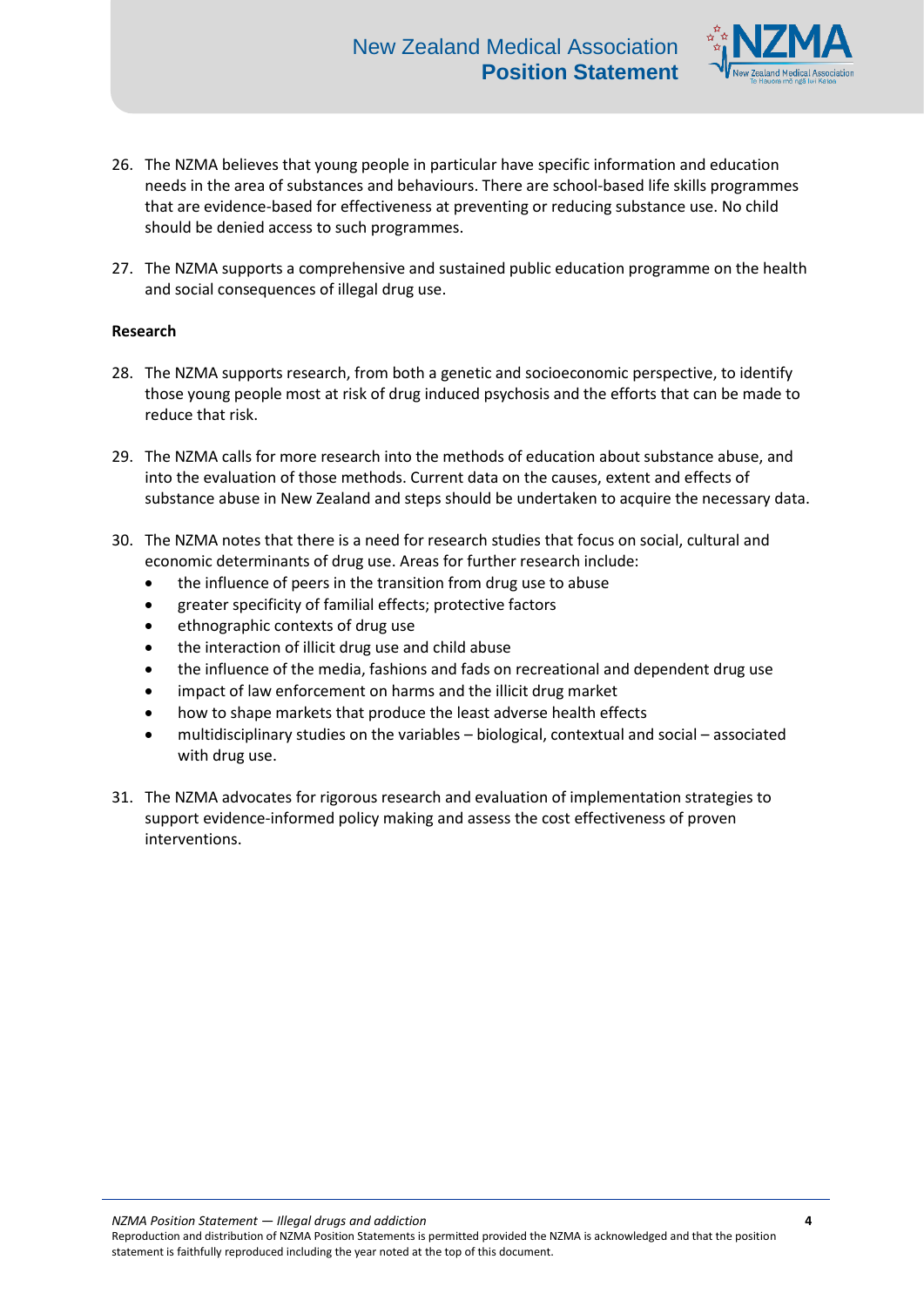

- 26. The NZMA believes that young people in particular have specific information and education needs in the area of substances and behaviours. There are school-based life skills programmes that are evidence-based for effectiveness at preventing or reducing substance use. No child should be denied access to such programmes.
- 27. The NZMA supports a comprehensive and sustained public education programme on the health and social consequences of illegal drug use.

### **Research**

- 28. The NZMA supports research, from both a genetic and socioeconomic perspective, to identify those young people most at risk of drug induced psychosis and the efforts that can be made to reduce that risk.
- 29. The NZMA calls for more research into the methods of education about substance abuse, and into the evaluation of those methods. Current data on the causes, extent and effects of substance abuse in New Zealand and steps should be undertaken to acquire the necessary data.
- 30. The NZMA notes that there is a need for research studies that focus on social, cultural and economic determinants of drug use. Areas for further research include:
	- the influence of peers in the transition from drug use to abuse
	- greater specificity of familial effects; protective factors
	- ethnographic contexts of drug use
	- the interaction of illicit drug use and child abuse
	- the influence of the media, fashions and fads on recreational and dependent drug use
	- impact of law enforcement on harms and the illicit drug market
	- how to shape markets that produce the least adverse health effects
	- multidisciplinary studies on the variables biological, contextual and social associated with drug use.
- 31. The NZMA advocates for rigorous research and evaluation of implementation strategies to support evidence-informed policy making and assess the cost effectiveness of proven interventions.

*NZMA Position Statement — Illegal drugs and addiction* **4**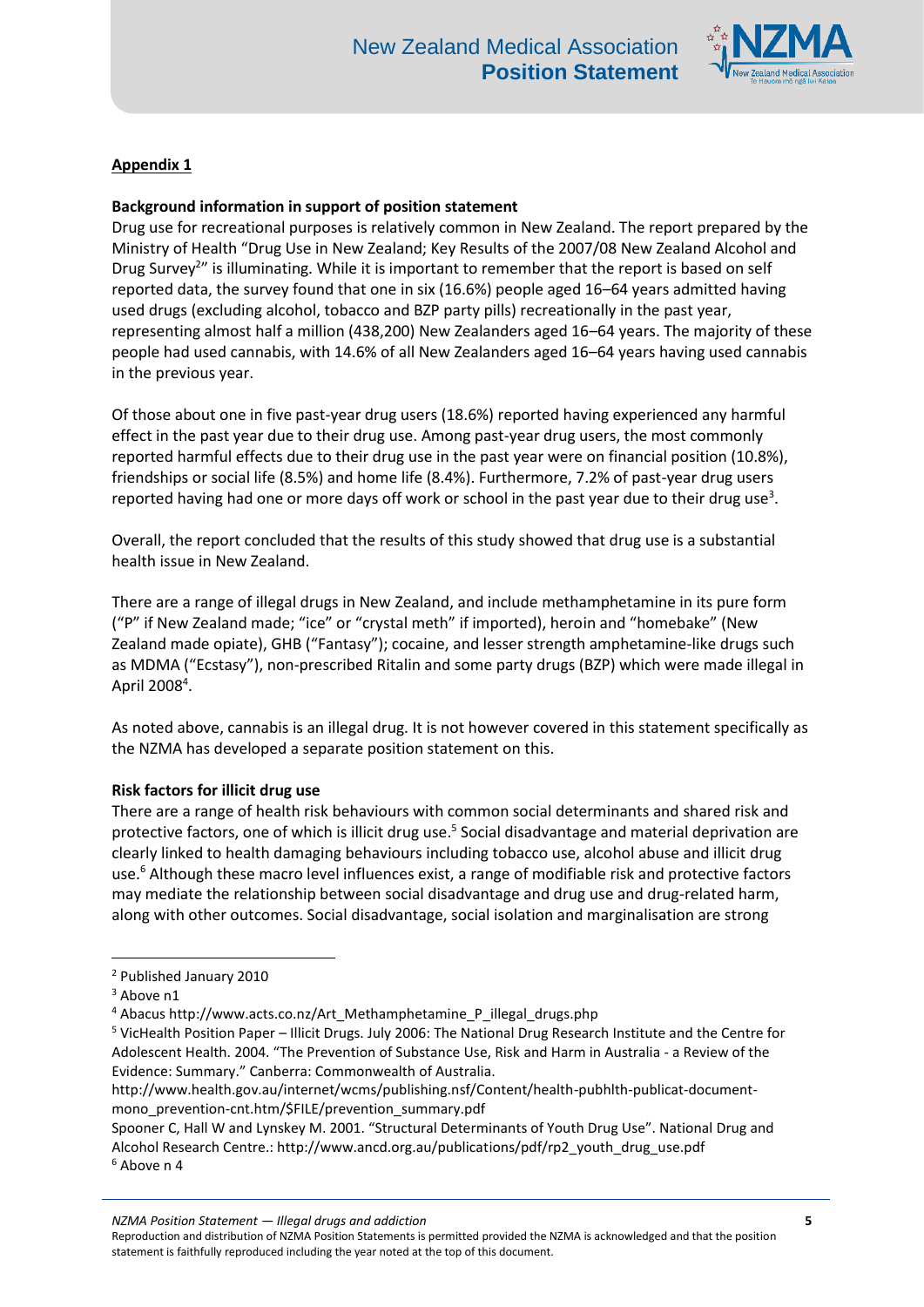

# **Appendix 1**

### **Background information in support of position statement**

Drug use for recreational purposes is relatively common in New Zealand. The report prepared by the Ministry of Health "Drug Use in New Zealand; Key Results of the 2007/08 New Zealand Alcohol and Drug Survey<sup>2</sup>" is illuminating. While it is important to remember that the report is based on self reported data, the survey found that one in six (16.6%) people aged 16–64 years admitted having used drugs (excluding alcohol, tobacco and BZP party pills) recreationally in the past year, representing almost half a million (438,200) New Zealanders aged 16–64 years. The majority of these people had used cannabis, with 14.6% of all New Zealanders aged 16–64 years having used cannabis in the previous year.

Of those about one in five past-year drug users (18.6%) reported having experienced any harmful effect in the past year due to their drug use. Among past-year drug users, the most commonly reported harmful effects due to their drug use in the past year were on financial position (10.8%), friendships or social life (8.5%) and home life (8.4%). Furthermore, 7.2% of past-year drug users reported having had one or more days off work or school in the past year due to their drug use<sup>3</sup>.

Overall, the report concluded that the results of this study showed that drug use is a substantial health issue in New Zealand.

There are a range of illegal drugs in New Zealand, and include methamphetamine in its pure form ("P" if New Zealand made; "ice" or "crystal meth" if imported), heroin and "homebake" (New Zealand made opiate), GHB ("Fantasy"); cocaine, and lesser strength amphetamine-like drugs such as MDMA ("Ecstasy"), non-prescribed Ritalin and some party drugs (BZP) which were made illegal in April 2008<sup>4</sup>.

As noted above, cannabis is an illegal drug. It is not however covered in this statement specifically as the NZMA has developed a separate position statement on this.

#### **Risk factors for illicit drug use**

There are a range of health risk behaviours with common social determinants and shared risk and protective factors, one of which is illicit drug use.<sup>5</sup> Social disadvantage and material deprivation are clearly linked to health damaging behaviours including tobacco use, alcohol abuse and illicit drug use.<sup>6</sup> Although these macro level influences exist, a range of modifiable risk and protective factors may mediate the relationship between social disadvantage and drug use and drug-related harm, along with other outcomes. Social disadvantage, social isolation and marginalisation are strong

 $\overline{a}$ 

*NZMA Position Statement — Illegal drugs and addiction* **5**

<sup>2</sup> Published January 2010

<sup>&</sup>lt;sup>3</sup> Above n1

<sup>4</sup> Abacus http://www.acts.co.nz/Art\_Methamphetamine\_P\_illegal\_drugs.php

<sup>5</sup> VicHealth Position Paper – Illicit Drugs. July 2006: The National Drug Research Institute and the Centre for Adolescent Health. 2004. "The Prevention of Substance Use, Risk and Harm in Australia - a Review of the Evidence: Summary." Canberra: Commonwealth of Australia.

http://www.health.gov.au/internet/wcms/publishing.nsf/Content/health-pubhlth-publicat-documentmono\_prevention-cnt.htm/\$FILE/prevention\_summary.pdf

Spooner C, Hall W and Lynskey M. 2001. "Structural Determinants of Youth Drug Use". National Drug and Alcohol Research Centre.: http://www.ancd.org.au/publications/pdf/rp2\_youth\_drug\_use.pdf <sup>6</sup> Above n 4

Reproduction and distribution of NZMA Position Statements is permitted provided the NZMA is acknowledged and that the position statement is faithfully reproduced including the year noted at the top of this document.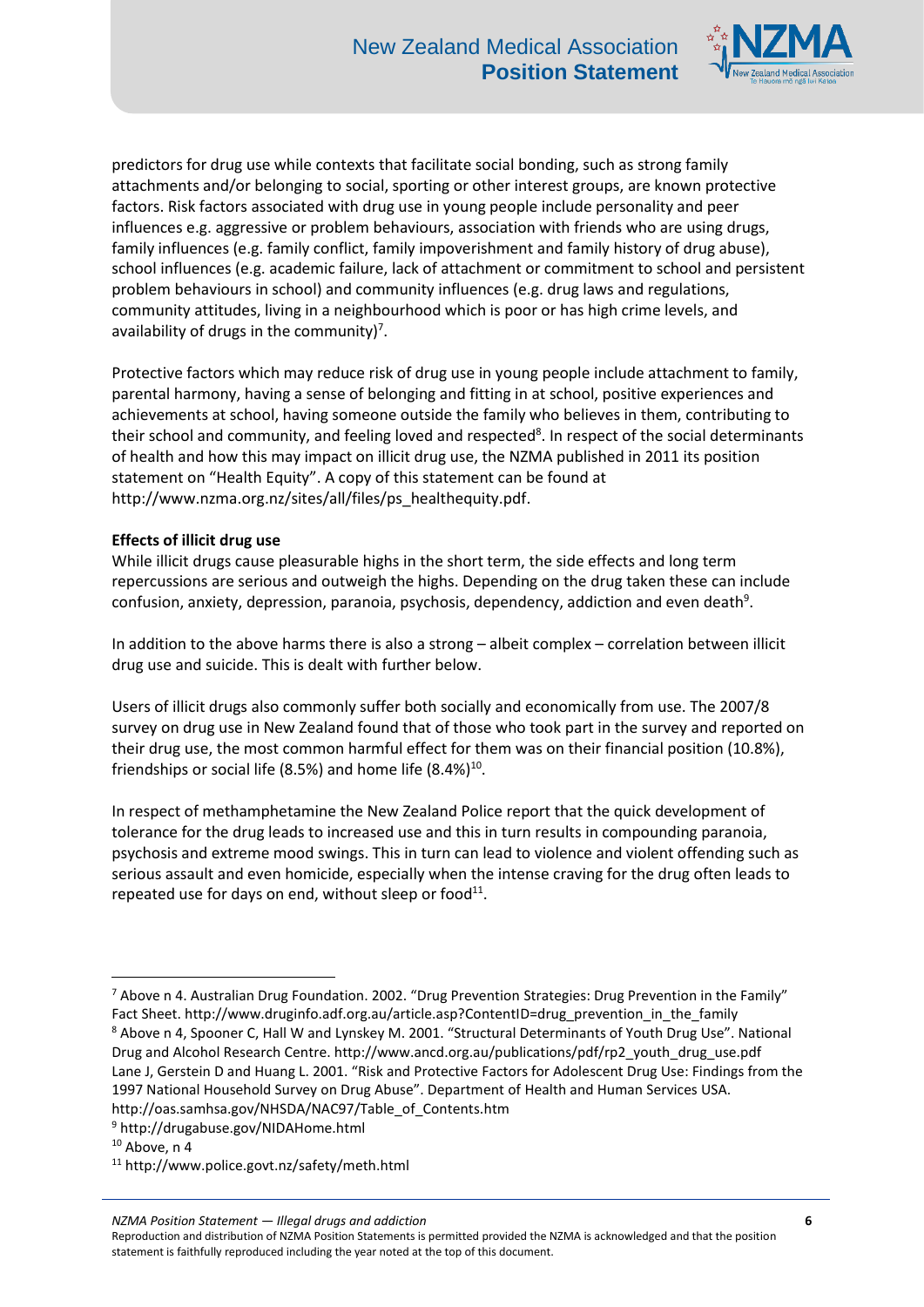

predictors for drug use while contexts that facilitate social bonding, such as strong family attachments and/or belonging to social, sporting or other interest groups, are known protective factors. Risk factors associated with drug use in young people include personality and peer influences e.g. aggressive or problem behaviours, association with friends who are using drugs, family influences (e.g. family conflict, family impoverishment and family history of drug abuse), school influences (e.g. academic failure, lack of attachment or commitment to school and persistent problem behaviours in school) and community influences (e.g. drug laws and regulations, community attitudes, living in a neighbourhood which is poor or has high crime levels, and availability of drugs in the community)<sup>7</sup>.

Protective factors which may reduce risk of drug use in young people include attachment to family, parental harmony, having a sense of belonging and fitting in at school, positive experiences and achievements at school, having someone outside the family who believes in them, contributing to their school and community, and feeling loved and respected<sup>8</sup>. In respect of the social determinants of health and how this may impact on illicit drug use, the NZMA published in 2011 its position statement on "Health Equity". A copy of this statement can be found at http://www.nzma.org.nz/sites/all/files/ps\_healthequity.pdf.

### **Effects of illicit drug use**

While illicit drugs cause pleasurable highs in the short term, the side effects and long term repercussions are serious and outweigh the highs. Depending on the drug taken these can include confusion, anxiety, depression, paranoia, psychosis, dependency, addiction and even death<sup>9</sup>.

In addition to the above harms there is also a strong – albeit complex – correlation between illicit drug use and suicide. This is dealt with further below.

Users of illicit drugs also commonly suffer both socially and economically from use. The 2007/8 survey on drug use in New Zealand found that of those who took part in the survey and reported on their drug use, the most common harmful effect for them was on their financial position (10.8%), friendships or social life (8.5%) and home life  $(8.4%)^{10}$ .

In respect of methamphetamine the New Zealand Police report that the quick development of tolerance for the drug leads to increased use and this in turn results in compounding paranoia, psychosis and extreme mood swings. This in turn can lead to violence and violent offending such as serious assault and even homicide, especially when the intense craving for the drug often leads to repeated use for days on end, without sleep or food $^{11}$ .

1

*NZMA Position Statement — Illegal drugs and addiction* **6**

<sup>7</sup> Above n 4. Australian Drug Foundation. 2002. "Drug Prevention Strategies: Drug Prevention in the Family" Fact Sheet. http://www.druginfo.adf.org.au/article.asp?ContentID=drug\_prevention\_in\_the\_family <sup>8</sup> Above n 4, Spooner C, Hall W and Lynskey M. 2001. "Structural Determinants of Youth Drug Use". National Drug and Alcohol Research Centre. http://www.ancd.org.au/publications/pdf/rp2\_youth\_drug\_use.pdf Lane J, Gerstein D and Huang L. 2001. "Risk and Protective Factors for Adolescent Drug Use: Findings from the 1997 National Household Survey on Drug Abuse". Department of Health and Human Services USA. http://oas.samhsa.gov/NHSDA/NAC97/Table\_of\_Contents.htm

<sup>9</sup> http://drugabuse.gov/NIDAHome.html

 $10$  Above, n 4

<sup>11</sup> http://www.police.govt.nz/safety/meth.html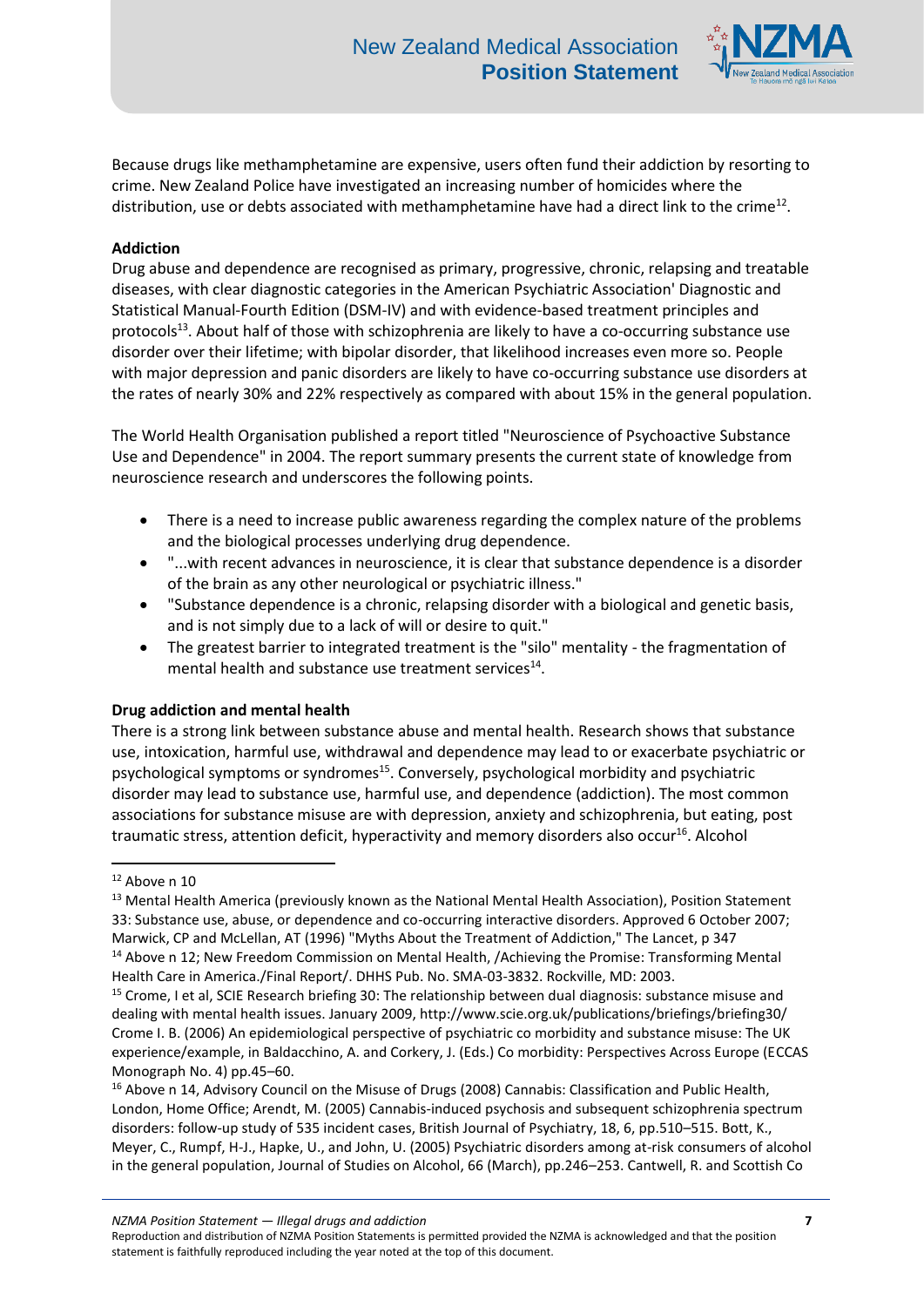

Because drugs like methamphetamine are expensive, users often fund their addiction by resorting to crime. New Zealand Police have investigated an increasing number of homicides where the distribution, use or debts associated with methamphetamine have had a direct link to the crime<sup>12</sup>.

## **Addiction**

Drug abuse and dependence are recognised as primary, progressive, chronic, relapsing and treatable diseases, with clear diagnostic categories in the American Psychiatric Association' Diagnostic and Statistical Manual-Fourth Edition (DSM-IV) and with evidence-based treatment principles and protocols<sup>13</sup>. About half of those with schizophrenia are likely to have a co-occurring substance use disorder over their lifetime; with bipolar disorder, that likelihood increases even more so. People with major depression and panic disorders are likely to have co-occurring substance use disorders at the rates of nearly 30% and 22% respectively as compared with about 15% in the general population.

The World Health Organisation published a report titled "Neuroscience of Psychoactive Substance Use and Dependence" in 2004. The report summary presents the current state of knowledge from neuroscience research and underscores the following points.

- There is a need to increase public awareness regarding the complex nature of the problems and the biological processes underlying drug dependence.
- "...with recent advances in neuroscience, it is clear that substance dependence is a disorder of the brain as any other neurological or psychiatric illness."
- "Substance dependence is a chronic, relapsing disorder with a biological and genetic basis, and is not simply due to a lack of will or desire to quit."
- The greatest barrier to integrated treatment is the "silo" mentality the fragmentation of mental health and substance use treatment services<sup>14</sup>.

### **Drug addiction and mental health**

There is a strong link between substance abuse and mental health. Research shows that substance use, intoxication, harmful use, withdrawal and dependence may lead to or exacerbate psychiatric or psychological symptoms or syndromes<sup>15</sup>. Conversely, psychological morbidity and psychiatric disorder may lead to substance use, harmful use, and dependence (addiction). The most common associations for substance misuse are with depression, anxiety and schizophrenia, but eating, post traumatic stress, attention deficit, hyperactivity and memory disorders also occur<sup>16</sup>. Alcohol

**.** 

<sup>16</sup> Above n 14, Advisory Council on the Misuse of Drugs (2008) Cannabis: Classification and Public Health, London, Home Office; Arendt, M. (2005) Cannabis-induced psychosis and subsequent schizophrenia spectrum disorders: follow-up study of 535 incident cases, British Journal of Psychiatry, 18, 6, pp.510–515. Bott, K., Meyer, C., Rumpf, H-J., Hapke, U., and John, U. (2005) Psychiatric disorders among at-risk consumers of alcohol in the general population, Journal of Studies on Alcohol, 66 (March), pp.246–253. Cantwell, R. and Scottish Co

 $12$  Above n 10

<sup>&</sup>lt;sup>13</sup> Mental Health America (previously known as the National Mental Health Association), Position Statement 33: Substance use, abuse, or dependence and co-occurring interactive disorders. Approved 6 October 2007; Marwick, CP and McLellan, AT (1996) "Myths About the Treatment of Addiction," The Lancet, p 347 <sup>14</sup> Above n 12; New Freedom Commission on Mental Health, /Achieving the Promise: Transforming Mental Health Care in America./Final Report/. DHHS Pub. No. SMA-03-3832. Rockville, MD: 2003.

<sup>&</sup>lt;sup>15</sup> Crome, I et al, SCIE Research briefing 30: The relationship between dual diagnosis: substance misuse and dealing with mental health issues. January 2009, http://www.scie.org.uk/publications/briefings/briefing30/ Crome I. B. (2006) An epidemiological perspective of psychiatric co morbidity and substance misuse: The UK experience/example, in Baldacchino, A. and Corkery, J. (Eds.) Co morbidity: Perspectives Across Europe (ECCAS Monograph No. 4) pp.45–60.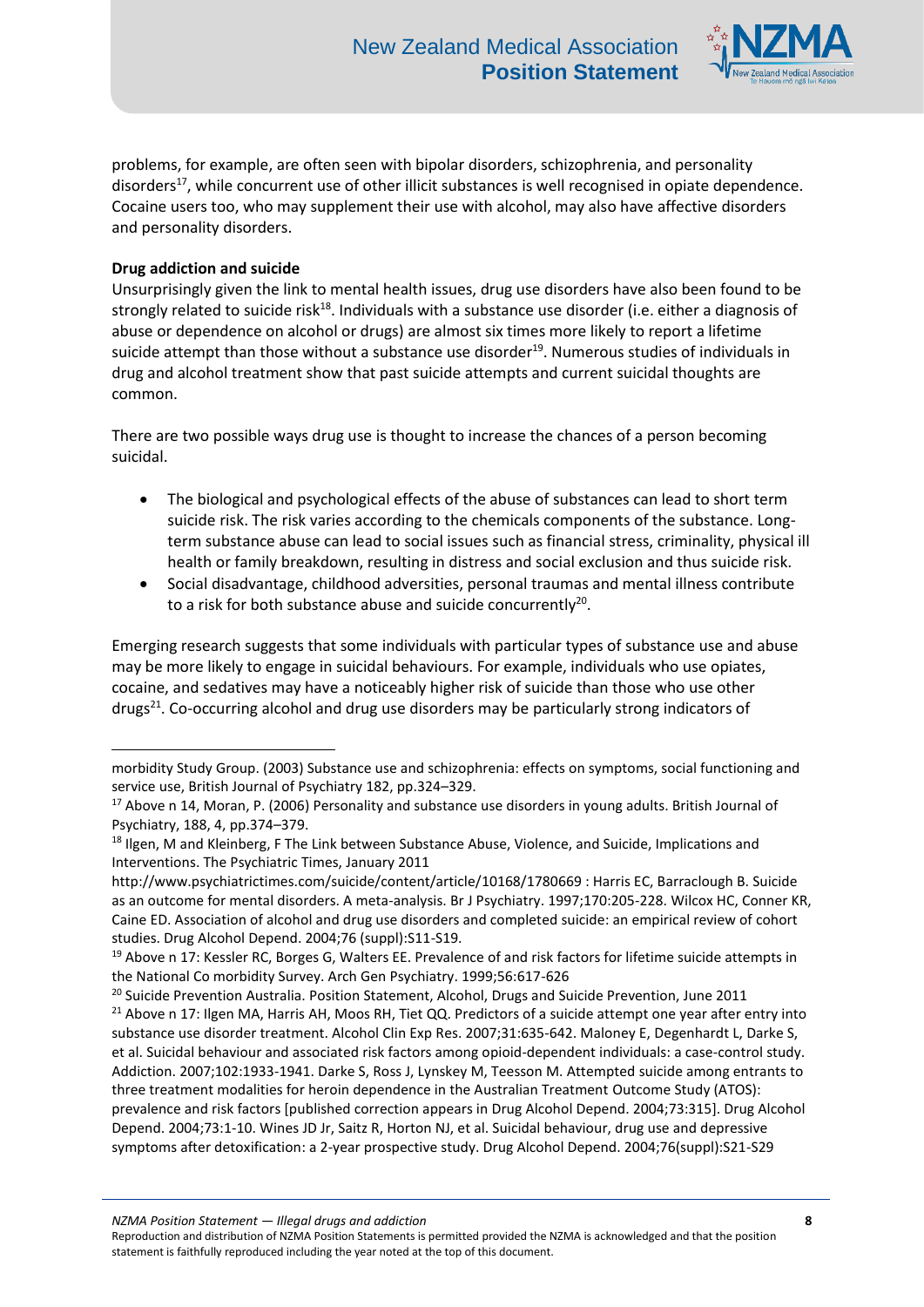

problems, for example, are often seen with bipolar disorders, schizophrenia, and personality disorders<sup>17</sup>, while concurrent use of other illicit substances is well recognised in opiate dependence. Cocaine users too, who may supplement their use with alcohol, may also have affective disorders and personality disorders.

# **Drug addiction and suicide**

1

Unsurprisingly given the link to mental health issues, drug use disorders have also been found to be strongly related to suicide risk<sup>18</sup>. Individuals with a substance use disorder (i.e. either a diagnosis of abuse or dependence on alcohol or drugs) are almost six times more likely to report a lifetime suicide attempt than those without a substance use disorder<sup>19</sup>. Numerous studies of individuals in drug and alcohol treatment show that past suicide attempts and current suicidal thoughts are common.

There are two possible ways drug use is thought to increase the chances of a person becoming suicidal.

- The biological and psychological effects of the abuse of substances can lead to short term suicide risk. The risk varies according to the chemicals components of the substance. Longterm substance abuse can lead to social issues such as financial stress, criminality, physical ill health or family breakdown, resulting in distress and social exclusion and thus suicide risk.
- Social disadvantage, childhood adversities, personal traumas and mental illness contribute to a risk for both substance abuse and suicide concurrently<sup>20</sup>.

Emerging research suggests that some individuals with particular types of substance use and abuse may be more likely to engage in suicidal behaviours. For example, individuals who use opiates, cocaine, and sedatives may have a noticeably higher risk of suicide than those who use other drugs<sup>21</sup>. Co-occurring alcohol and drug use disorders may be particularly strong indicators of

morbidity Study Group. (2003) Substance use and schizophrenia: effects on symptoms, social functioning and service use, British Journal of Psychiatry 182, pp.324–329.

<sup>&</sup>lt;sup>17</sup> Above n 14, Moran, P. (2006) Personality and substance use disorders in young adults. British Journal of Psychiatry, 188, 4, pp.374–379.

<sup>&</sup>lt;sup>18</sup> Ilgen, M and Kleinberg, F The Link between Substance Abuse, Violence, and Suicide, Implications and Interventions. The Psychiatric Times, January 2011

http://www.psychiatrictimes.com/suicide/content/article/10168/1780669 : Harris EC, Barraclough B. Suicide as an outcome for mental disorders. A meta-analysis. Br J Psychiatry. 1997;170:205-228. Wilcox HC, Conner KR, Caine ED. Association of alcohol and drug use disorders and completed suicide: an empirical review of cohort studies. Drug Alcohol Depend. 2004;76 (suppl):S11-S19.

<sup>&</sup>lt;sup>19</sup> Above n 17: Kessler RC, Borges G, Walters EE. Prevalence of and risk factors for lifetime suicide attempts in the National Co morbidity Survey. Arch Gen Psychiatry. 1999;56:617-626

<sup>&</sup>lt;sup>20</sup> Suicide Prevention Australia. Position Statement, Alcohol, Drugs and Suicide Prevention, June 2011

<sup>&</sup>lt;sup>21</sup> Above n 17: Ilgen MA, Harris AH, Moos RH, Tiet QQ. Predictors of a suicide attempt one year after entry into substance use disorder treatment. Alcohol Clin Exp Res. 2007;31:635-642. Maloney E, Degenhardt L, Darke S, et al. Suicidal behaviour and associated risk factors among opioid-dependent individuals: a case-control study. Addiction. 2007;102:1933-1941. Darke S, Ross J, Lynskey M, Teesson M. Attempted suicide among entrants to three treatment modalities for heroin dependence in the Australian Treatment Outcome Study (ATOS): prevalence and risk factors [published correction appears in Drug Alcohol Depend. 2004;73:315]. Drug Alcohol Depend. 2004;73:1-10. Wines JD Jr, Saitz R, Horton NJ, et al. Suicidal behaviour, drug use and depressive symptoms after detoxification: a 2-year prospective study. Drug Alcohol Depend. 2004;76(suppl):S21-S29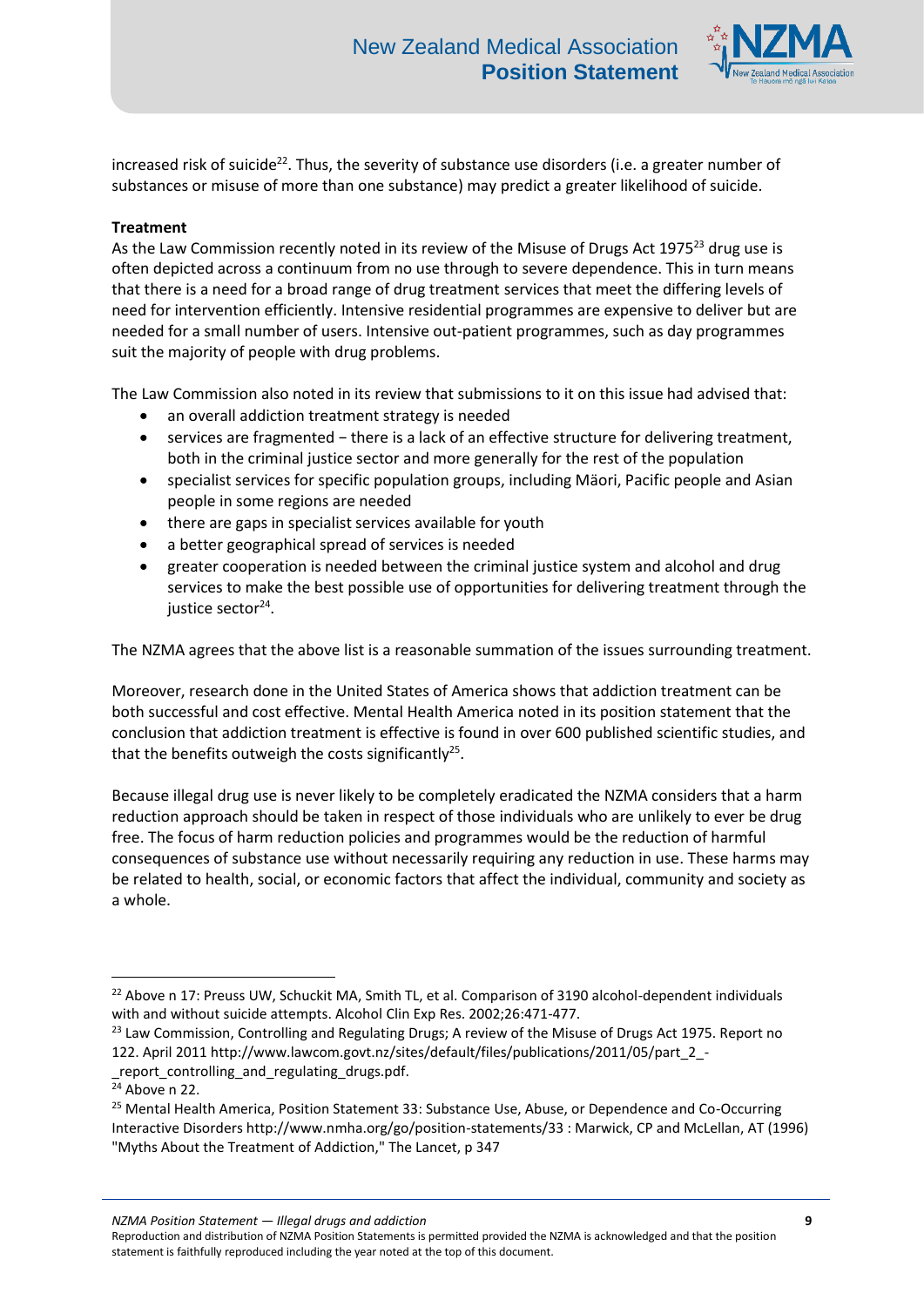

increased risk of suicide<sup>22</sup>. Thus, the severity of substance use disorders (i.e. a greater number of substances or misuse of more than one substance) may predict a greater likelihood of suicide.

# **Treatment**

As the Law Commission recently noted in its review of the Misuse of Drugs Act 1975<sup>23</sup> drug use is often depicted across a continuum from no use through to severe dependence. This in turn means that there is a need for a broad range of drug treatment services that meet the differing levels of need for intervention efficiently. Intensive residential programmes are expensive to deliver but are needed for a small number of users. Intensive out-patient programmes, such as day programmes suit the majority of people with drug problems.

The Law Commission also noted in its review that submissions to it on this issue had advised that:

- an overall addiction treatment strategy is needed
- services are fragmented − there is a lack of an effective structure for delivering treatment, both in the criminal justice sector and more generally for the rest of the population
- specialist services for specific population groups, including Mäori, Pacific people and Asian people in some regions are needed
- there are gaps in specialist services available for youth
- a better geographical spread of services is needed
- greater cooperation is needed between the criminal justice system and alcohol and drug services to make the best possible use of opportunities for delivering treatment through the justice sector<sup>24</sup>.

The NZMA agrees that the above list is a reasonable summation of the issues surrounding treatment.

Moreover, research done in the United States of America shows that addiction treatment can be both successful and cost effective. Mental Health America noted in its position statement that the conclusion that addiction treatment is effective is found in over 600 published scientific studies, and that the benefits outweigh the costs significantly<sup>25</sup>.

Because illegal drug use is never likely to be completely eradicated the NZMA considers that a harm reduction approach should be taken in respect of those individuals who are unlikely to ever be drug free. The focus of harm reduction policies and programmes would be the reduction of harmful consequences of substance use without necessarily requiring any reduction in use. These harms may be related to health, social, or economic factors that affect the individual, community and society as a whole.

1

*NZMA Position Statement — Illegal drugs and addiction* **9**

<sup>&</sup>lt;sup>22</sup> Above n 17: Preuss UW, Schuckit MA, Smith TL, et al. Comparison of 3190 alcohol-dependent individuals with and without suicide attempts. Alcohol Clin Exp Res. 2002;26:471-477.

<sup>&</sup>lt;sup>23</sup> Law Commission, Controlling and Regulating Drugs; A review of the Misuse of Drugs Act 1975. Report no 122. April 2011 http://www.lawcom.govt.nz/sites/default/files/publications/2011/05/part\_2\_-

\_report\_controlling\_and\_regulating\_drugs.pdf.

 $\overline{24}$  Above n 22.

<sup>&</sup>lt;sup>25</sup> Mental Health America, Position Statement 33: Substance Use, Abuse, or Dependence and Co-Occurring Interactive Disorders http://www.nmha.org/go/position-statements/33 : Marwick, CP and McLellan, AT (1996) "Myths About the Treatment of Addiction," The Lancet, p 347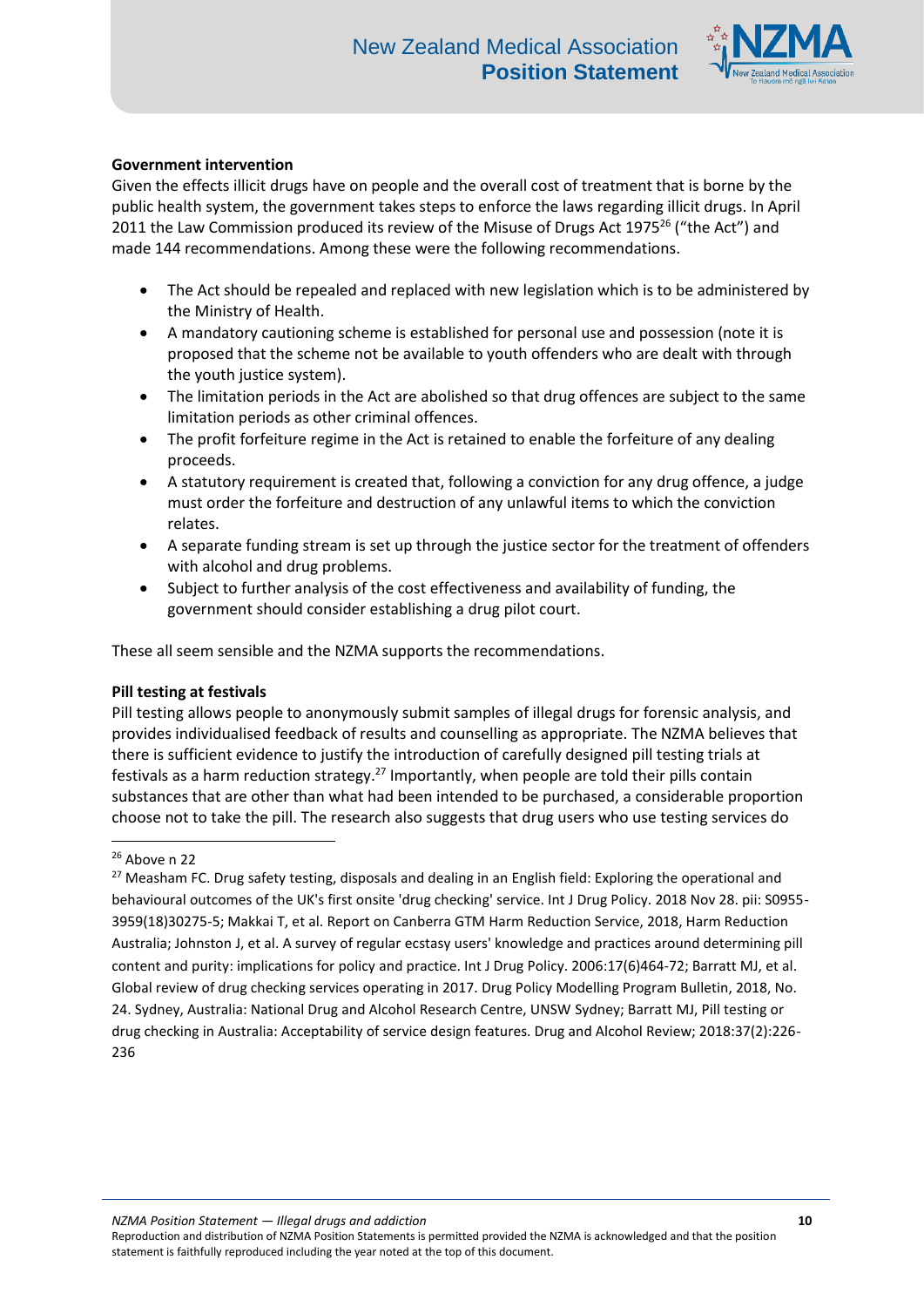

# **Government intervention**

Given the effects illicit drugs have on people and the overall cost of treatment that is borne by the public health system, the government takes steps to enforce the laws regarding illicit drugs. In April 2011 the Law Commission produced its review of the Misuse of Drugs Act 1975<sup>26</sup> ("the Act") and made 144 recommendations. Among these were the following recommendations.

- The Act should be repealed and replaced with new legislation which is to be administered by the Ministry of Health.
- A mandatory cautioning scheme is established for personal use and possession (note it is proposed that the scheme not be available to youth offenders who are dealt with through the youth justice system).
- The limitation periods in the Act are abolished so that drug offences are subject to the same limitation periods as other criminal offences.
- The profit forfeiture regime in the Act is retained to enable the forfeiture of any dealing proceeds.
- A statutory requirement is created that, following a conviction for any drug offence, a judge must order the forfeiture and destruction of any unlawful items to which the conviction relates.
- A separate funding stream is set up through the justice sector for the treatment of offenders with alcohol and drug problems.
- Subject to further analysis of the cost effectiveness and availability of funding, the government should consider establishing a drug pilot court.

These all seem sensible and the NZMA supports the recommendations.

### **Pill testing at festivals**

Pill testing allows people to anonymously submit samples of illegal drugs for forensic analysis, and provides individualised feedback of results and counselling as appropriate. The NZMA believes that there is sufficient evidence to justify the introduction of carefully designed pill testing trials at festivals as a harm reduction strategy.<sup>27</sup> Importantly, when people are told their pills contain substances that are other than what had been intended to be purchased, a considerable proportion choose not to take the pill. The research also suggests that drug users who use testing services do

*NZMA Position Statement — Illegal drugs and addiction* **10**

**<sup>.</sup>**  $26$  Above n 22

<sup>&</sup>lt;sup>27</sup> Measham FC. Drug safety testing, disposals and dealing in an English field: Exploring the operational and behavioural outcomes of the UK's first onsite 'drug checking' service. Int J Drug Policy. 2018 Nov 28. pii: S0955- 3959(18)30275-5; Makkai T, et al. Report on Canberra GTM Harm Reduction Service, 2018, Harm Reduction Australia; Johnston J, et al. A survey of regular ecstasy users' knowledge and practices around determining pill content and purity: implications for policy and practice. Int J Drug Policy. 2006:17(6)464-72; Barratt MJ, et al. Global review of drug checking services operating in 2017. Drug Policy Modelling Program Bulletin, 2018, No. 24. Sydney, Australia: National Drug and Alcohol Research Centre, UNSW Sydney; Barratt MJ, Pill testing or drug checking in Australia: Acceptability of service design features. Drug and Alcohol Review; 2018:37(2):226- 236